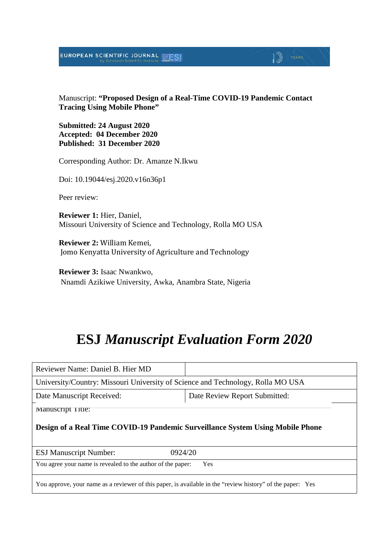### EUROPEAN SCIENTIFIC JOURNAL MESI

Manuscript: **"Proposed Design of a Real-Time COVID-19 Pandemic Contact Tracing Using Mobile Phone"**

 $\mathbb{D}$  YEARS

**Submitted: 24 August 2020 Accepted: 04 December 2020 Published: 31 December 2020**

Corresponding Author: Dr. Amanze N.Ikwu

Doi: 10.19044/esj.2020.v16n36p1

Peer review:

**Reviewer 1:** Hier, Daniel, Missouri University of Science and Technology, Rolla MO USA

**Reviewer 2:** William Kemei, Jomo Kenyatta University of Agriculture and Technology

**Reviewer 3:** Isaac Nwankwo, Nnamdi Azikiwe University, Awka, Anambra State, Nigeria

# **ESJ** *Manuscript Evaluation Form 2020*

| Reviewer Name: Daniel B. Hier MD                                                |                               |  |
|---------------------------------------------------------------------------------|-------------------------------|--|
| University/Country: Missouri University of Science and Technology, Rolla MO USA |                               |  |
| Date Manuscript Received:                                                       | Date Review Report Submitted: |  |
| Manuscript Title:                                                               |                               |  |
| Design of a Real Time COVID-19 Pandemic Surveillance System Using Mobile Phone  |                               |  |
|                                                                                 |                               |  |
| 0924/20<br><b>ESJ Manuscript Number:</b>                                        |                               |  |
| You agree your name is revealed to the author of the paper:                     | <b>Yes</b>                    |  |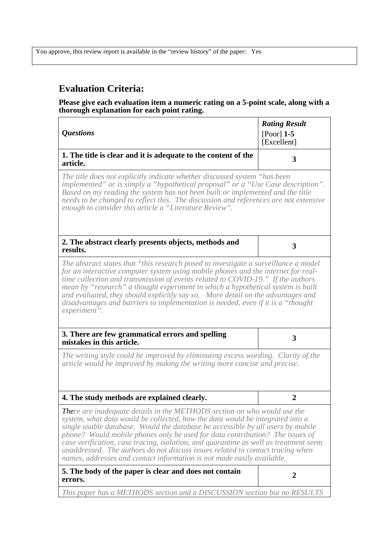## **Evaluation Criteria:**

#### **Please give each evaluation item a numeric rating on a 5-point scale, along with a thorough explanation for each point rating.**

| <i><b>Questions</b></i>                                                                                                                                                                                                                                                                                                                                                                                                                                                                                                                                                                 | <b>Rating Result</b><br>$[Poor]$ 1-5<br>[Excellent] |
|-----------------------------------------------------------------------------------------------------------------------------------------------------------------------------------------------------------------------------------------------------------------------------------------------------------------------------------------------------------------------------------------------------------------------------------------------------------------------------------------------------------------------------------------------------------------------------------------|-----------------------------------------------------|
| 1. The title is clear and it is adequate to the content of the<br>article.                                                                                                                                                                                                                                                                                                                                                                                                                                                                                                              | 3                                                   |
| The title does not explicitly indicate whether discussed system "has been<br>implemented" or is simply a "hypothetical proposal" or a "Use Case description".<br>Based on my reading the system has not been built or implemented and the title<br>needs to be changed to reflect this. The discussion and references are not extensive<br>enough to consider this article a "Literature Review".                                                                                                                                                                                       |                                                     |
| 2. The abstract clearly presents objects, methods and<br>results.                                                                                                                                                                                                                                                                                                                                                                                                                                                                                                                       | 3                                                   |
| The abstract states that "this research posed to investigate a surveillance a model<br>for an interactive computer system using mobile phones and the internet for real-<br>time collection and transmission of events related to COVID-19." If the authors<br>mean by "research" a thought experiment in which a hypothetical system is built<br>and evaluated, they should explicitly say so. More detail on the advantages and<br>disadvantages and barriers to implementation is needed, even if it is a "thought"<br>experiment".                                                  |                                                     |
| 3. There are few grammatical errors and spelling<br>mistakes in this article.                                                                                                                                                                                                                                                                                                                                                                                                                                                                                                           | 3                                                   |
| The writing style could be improved by eliminating excess wording. Clarity of the<br>article would be improved by making the writing more concise and precise.                                                                                                                                                                                                                                                                                                                                                                                                                          |                                                     |
| 4. The study methods are explained clearly.                                                                                                                                                                                                                                                                                                                                                                                                                                                                                                                                             | 2                                                   |
| <b>There are inadequate details in the METHODS section on who would use the</b><br>system, what data would be collected, how the data would be integrated into a<br>single usable database. Would the database be accessible by all users by mobile<br>phone? Would mobile phones only be used for data contribution? The issues of<br>case verification, case tracing, isolation, and quarantine as well as treatment seem<br>unaddressed. The authors do not discuss issues related to contact tracing when<br>names, addresses and contact information is not made easily available. |                                                     |
| 5. The body of the paper is clear and does not contain<br>errors.                                                                                                                                                                                                                                                                                                                                                                                                                                                                                                                       | $\overline{2}$                                      |
| This paper has a METHODS section and a DISCUSSION section but no RESULTS                                                                                                                                                                                                                                                                                                                                                                                                                                                                                                                |                                                     |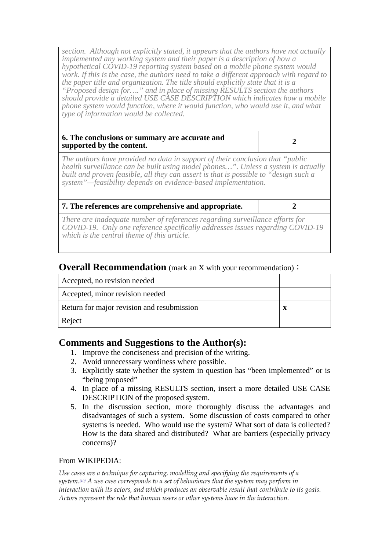*section. Although not explicitly stated, it appears that the authors have not actually implemented any working system and their paper is a description of how a hypothetical COVID-19 reporting system based on a mobile phone system would work. If this is the case, the authors need to take a different approach with regard to the paper title and organization. The title should explicitly state that it is a "Proposed design for…." and in place of missing RESULTS section the authors should provide a detailed USE CASE DESCRIPTION which indicates how a mobile phone system would function, where it would function, who would use it, and what type of information would be collected.*

#### **6. The conclusions or summary are accurate and supported by the content. 2 2**

*The authors have provided no data in support of their conclusion that "public health surveillance can be built using model phones…". Unless a system is actually built and proven feasible, all they can assert is that is possible to "design such a system"—feasibility depends on evidence-based implementation.*

**7. The references are comprehensive and appropriate. 2**

*There are inadequate number of references regarding surveillance efforts for COVID-19. Only one reference specifically addresses issues regarding COVID-19 which is the central theme of this article.*

### **Overall Recommendation** (mark an X with your recommendation):

| Accepted, no revision needed               |   |
|--------------------------------------------|---|
| Accepted, minor revision needed            |   |
| Return for major revision and resubmission | X |
| Reject                                     |   |

### **Comments and Suggestions to the Author(s):**

- 1. Improve the conciseness and precision of the writing.
- 2. Avoid unnecessary wordiness where possible.
- 3. Explicitly state whether the system in question has "been implemented" or is "being proposed"
- 4. In place of a missing RESULTS section, insert a more detailed USE CASE DESCRIPTION of the proposed system.
- 5. In the discussion section, more thoroughly discuss the advantages and disadvantages of such a system. Some discussion of costs compared to other systems is needed. Who would use the system? What sort of data is collected? How is the data shared and distributed? What are barriers (especially privacy concerns)?

#### From WIKIPEDIA:

*Use cases are a technique for capturing, modelling and specifying the requirements of a system[.\[10\]](https://en.wikipedia.org/wiki/Use_case#cite_note-:8-10) A use case corresponds to a set of behaviours that the system may perform in interaction with its actors, and which produces an observable result that contribute to its goals. Actors represent the role that human users or other systems have in the interaction.*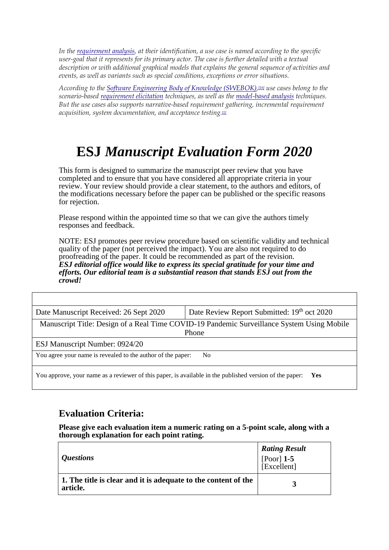*In the [requirement analysis,](https://en.wikipedia.org/wiki/Requirements_analysis) at their identification, a use case is named according to the specific user-goal that it represents for its primary actor. The case is further detailed with a textual description or with additional graphical models that explains the general sequence of activities and events, as well as variants such as special conditions, exceptions or error situations.*

*According to the [Software Engineering Body of Knowledge \(SWEBOK\),](https://en.wikipedia.org/wiki/Software_Engineering_Body_of_Knowledge)[\[16\]](https://en.wikipedia.org/wiki/Use_case#cite_note-16) use cases belong to the scenario-based [requirement elicitation](https://en.wikipedia.org/wiki/Requirements_elicitation) techniques, as well as the [model-based analysis](https://en.wikipedia.org/wiki/Model-based_systems_engineering) techniques. But the use cases also supports narrative-based requirement gathering, incremental requirement acquisition, system documentation, and acceptance testin[g.\[1\]](https://en.wikipedia.org/wiki/Use_case#cite_note-:1-1)*

# **ESJ** *Manuscript Evaluation Form 2020*

This form is designed to summarize the manuscript peer review that you have completed and to ensure that you have considered all appropriate criteria in your review. Your review should provide a clear statement, to the authors and editors, of the modifications necessary before the paper can be published or the specific reasons for rejection.

Please respond within the appointed time so that we can give the authors timely responses and feedback.

NOTE: ESJ promotes peer review procedure based on scientific validity and technical quality of the paper (not perceived the impact). You are also not required to do proofreading of the paper. It could be recommended as part of the revision. *ESJ editorial office would like to express its special gratitude for your time and efforts. Our editorial team is a substantial reason that stands ESJ out from the crowd!* 

| Date Manuscript Received: 26 Sept 2020                                                                                | Date Review Report Submitted: 19th oct 2020 |  |
|-----------------------------------------------------------------------------------------------------------------------|---------------------------------------------|--|
| Manuscript Title: Design of a Real Time COVID-19 Pandemic Surveillance System Using Mobile                            |                                             |  |
| Phone                                                                                                                 |                                             |  |
| ESJ Manuscript Number: 0924/20                                                                                        |                                             |  |
| You agree your name is revealed to the author of the paper:<br>No.                                                    |                                             |  |
| You approve, your name as a reviewer of this paper, is available in the published version of the paper:<br><b>Yes</b> |                                             |  |

### **Evaluation Criteria:**

**Please give each evaluation item a numeric rating on a 5-point scale, along with a thorough explanation for each point rating.**

| <i><b>Ouestions</b></i>                                                    | <b>Rating Result</b><br>[Poor] $1-5$<br>[Excellent] |
|----------------------------------------------------------------------------|-----------------------------------------------------|
| 1. The title is clear and it is adequate to the content of the<br>article. |                                                     |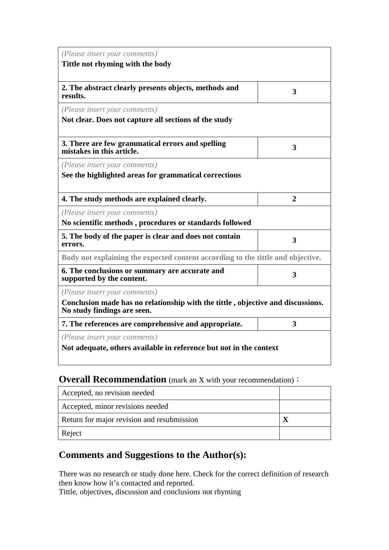| (Please insert your comments)                                                                                                                   |                |  |
|-------------------------------------------------------------------------------------------------------------------------------------------------|----------------|--|
| Tittle not rhyming with the body                                                                                                                |                |  |
| 2. The abstract clearly presents objects, methods and<br>results.                                                                               | 3              |  |
| (Please insert your comments)<br>Not clear. Does not capture all sections of the study                                                          |                |  |
| 3. There are few grammatical errors and spelling<br>mistakes in this article.                                                                   | 3              |  |
| (Please insert your comments)                                                                                                                   |                |  |
| See the highlighted areas for grammatical corrections                                                                                           |                |  |
| 4. The study methods are explained clearly.                                                                                                     | $\overline{2}$ |  |
| (Please insert your comments)                                                                                                                   |                |  |
| No scientific methods, procedures or standards followed                                                                                         |                |  |
| 5. The body of the paper is clear and does not contain<br>errors.                                                                               | 3              |  |
| Body not explaining the expected content according to the tittle and objective.                                                                 |                |  |
| 6. The conclusions or summary are accurate and<br>supported by the content.                                                                     | 3              |  |
| (Please insert your comments)<br>Conclusion made has no relationship with the tittle, objective and discussions.<br>No study findings are seen. |                |  |
| 7. The references are comprehensive and appropriate.                                                                                            | 3              |  |
| (Please insert your comments)<br>Not adequate, others available in reference but not in the context                                             |                |  |

## **Overall Recommendation** (mark an X with your recommendation):

| Accepted, no revision needed               |  |
|--------------------------------------------|--|
| Accepted, minor revisions needed           |  |
| Return for major revision and resubmission |  |
| Reject                                     |  |

## **Comments and Suggestions to the Author(s):**

There was no research or study done here. Check for the correct definition of research then know how it's contacted and reported.

Tittle, objectives, discussion and conclusions not rhyming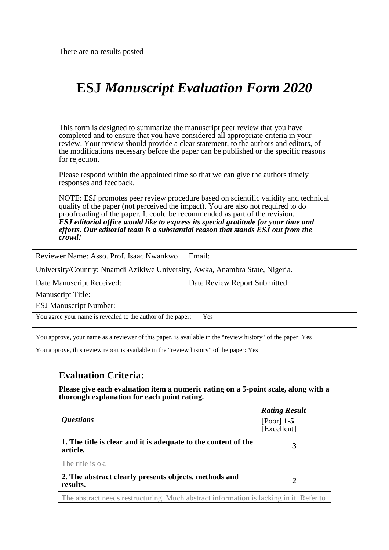# **ESJ** *Manuscript Evaluation Form 2020*

This form is designed to summarize the manuscript peer review that you have completed and to ensure that you have considered all appropriate criteria in your review. Your review should provide a clear statement, to the authors and editors, of the modifications necessary before the paper can be published or the specific reasons for rejection.

Please respond within the appointed time so that we can give the authors timely responses and feedback.

NOTE: ESJ promotes peer review procedure based on scientific validity and technical quality of the paper (not perceived the impact). You are also not required to do proofreading of the paper. It could be recommended as part of the revision. *ESJ editorial office would like to express its special gratitude for your time and efforts. Our editorial team is a substantial reason that stands ESJ out from the crowd!* 

| Reviewer Name: Asso. Prof. Isaac Nwankwo                                                                                                                                                             | Email:                        |  |
|------------------------------------------------------------------------------------------------------------------------------------------------------------------------------------------------------|-------------------------------|--|
| University/Country: Nnamdi Azikiwe University, Awka, Anambra State, Nigeria.                                                                                                                         |                               |  |
| Date Manuscript Received:                                                                                                                                                                            | Date Review Report Submitted: |  |
| <b>Manuscript Title:</b>                                                                                                                                                                             |                               |  |
| <b>ESJ Manuscript Number:</b>                                                                                                                                                                        |                               |  |
| You agree your name is revealed to the author of the paper:<br><b>Yes</b>                                                                                                                            |                               |  |
| You approve, your name as a reviewer of this paper, is available in the "review history" of the paper: Yes<br>You approve, this review report is available in the "review history" of the paper: Yes |                               |  |

### **Evaluation Criteria:**

**Please give each evaluation item a numeric rating on a 5-point scale, along with a thorough explanation for each point rating.**

| <i><b>Ouestions</b></i>                                                                | <b>Rating Result</b><br>[Poor] $1-5$<br>[Excellent] |
|----------------------------------------------------------------------------------------|-----------------------------------------------------|
| 1. The title is clear and it is adequate to the content of the<br>article.             | 3                                                   |
| The title is ok.                                                                       |                                                     |
| 2. The abstract clearly presents objects, methods and<br>results.                      | 2                                                   |
| The abstract needs restructuring. Much abstract information is lacking in it. Refer to |                                                     |